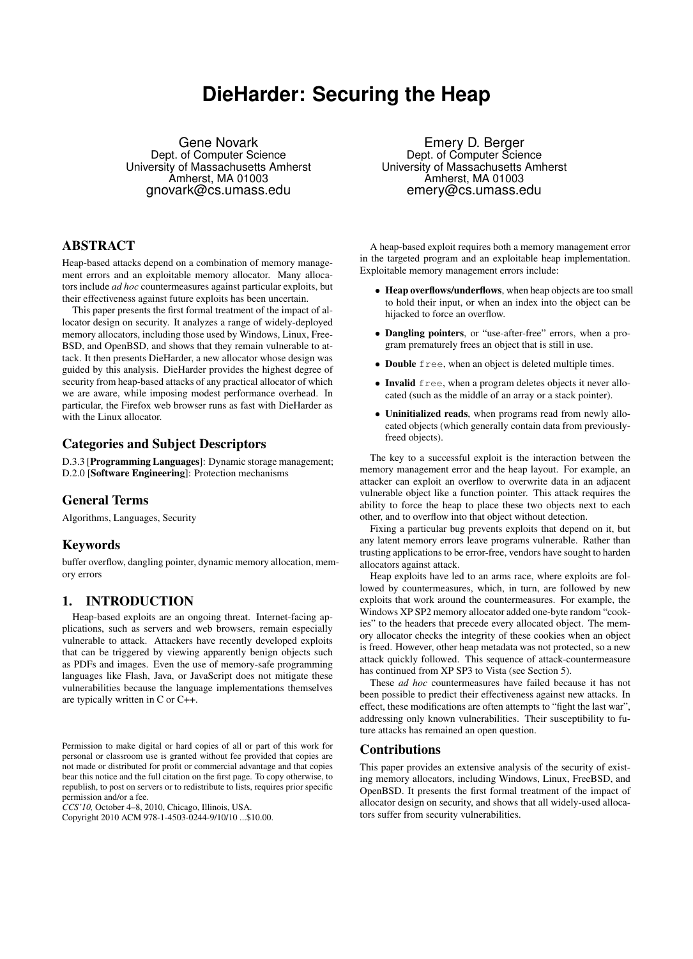# **DieHarder: Securing the Heap**

Gene Novark Dept. of Computer Science University of Massachusetts Amherst Amherst, MA 01003 gnovark@cs.umass.edu

# **ABSTRACT**

Heap-based attacks depend on a combination of memory management errors and an exploitable memory allocator. Many allocators include *ad hoc* countermeasures against particular exploits, but their effectiveness against future exploits has been uncertain.

This paper presents the first formal treatment of the impact of allocator design on security. It analyzes a range of widely-deployed memory allocators, including those used by Windows, Linux, Free-BSD, and OpenBSD, and shows that they remain vulnerable to attack. It then presents DieHarder, a new allocator whose design was guided by this analysis. DieHarder provides the highest degree of security from heap-based attacks of any practical allocator of which we are aware, while imposing modest performance overhead. In particular, the Firefox web browser runs as fast with DieHarder as with the Linux allocator.

# Categories and Subject Descriptors

D.3.3 [Programming Languages]: Dynamic storage management; D.2.0 [Software Engineering]: Protection mechanisms

# General Terms

Algorithms, Languages, Security

### Keywords

buffer overflow, dangling pointer, dynamic memory allocation, memory errors

# 1. INTRODUCTION

Heap-based exploits are an ongoing threat. Internet-facing applications, such as servers and web browsers, remain especially vulnerable to attack. Attackers have recently developed exploits that can be triggered by viewing apparently benign objects such as PDFs and images. Even the use of memory-safe programming languages like Flash, Java, or JavaScript does not mitigate these vulnerabilities because the language implementations themselves are typically written in C or C++.

*CCS'10,* October 4–8, 2010, Chicago, Illinois, USA.

Copyright 2010 ACM 978-1-4503-0244-9/10/10 ...\$10.00.

Emery D. Berger Dept. of Computer Science University of Massachusetts Amherst Amherst, MA 01003 emery@cs.umass.edu

A heap-based exploit requires both a memory management error in the targeted program and an exploitable heap implementation. Exploitable memory management errors include:

- Heap overflows/underflows, when heap objects are too small to hold their input, or when an index into the object can be hijacked to force an overflow.
- Dangling pointers, or "use-after-free" errors, when a program prematurely frees an object that is still in use.
- Double free, when an object is deleted multiple times.
- Invalid free, when a program deletes objects it never allocated (such as the middle of an array or a stack pointer).
- Uninitialized reads, when programs read from newly allocated objects (which generally contain data from previouslyfreed objects).

The key to a successful exploit is the interaction between the memory management error and the heap layout. For example, an attacker can exploit an overflow to overwrite data in an adjacent vulnerable object like a function pointer. This attack requires the ability to force the heap to place these two objects next to each other, and to overflow into that object without detection.

Fixing a particular bug prevents exploits that depend on it, but any latent memory errors leave programs vulnerable. Rather than trusting applications to be error-free, vendors have sought to harden allocators against attack.

Heap exploits have led to an arms race, where exploits are followed by countermeasures, which, in turn, are followed by new exploits that work around the countermeasures. For example, the Windows XP SP2 memory allocator added one-byte random "cookies" to the headers that precede every allocated object. The memory allocator checks the integrity of these cookies when an object is freed. However, other heap metadata was not protected, so a new attack quickly followed. This sequence of attack-countermeasure has continued from XP SP3 to Vista (see Section 5).

These *ad hoc* countermeasures have failed because it has not been possible to predict their effectiveness against new attacks. In effect, these modifications are often attempts to "fight the last war", addressing only known vulnerabilities. Their susceptibility to future attacks has remained an open question.

### Contributions

This paper provides an extensive analysis of the security of existing memory allocators, including Windows, Linux, FreeBSD, and OpenBSD. It presents the first formal treatment of the impact of allocator design on security, and shows that all widely-used allocators suffer from security vulnerabilities.

Permission to make digital or hard copies of all or part of this work for personal or classroom use is granted without fee provided that copies are not made or distributed for profit or commercial advantage and that copies bear this notice and the full citation on the first page. To copy otherwise, to republish, to post on servers or to redistribute to lists, requires prior specific permission and/or a fee.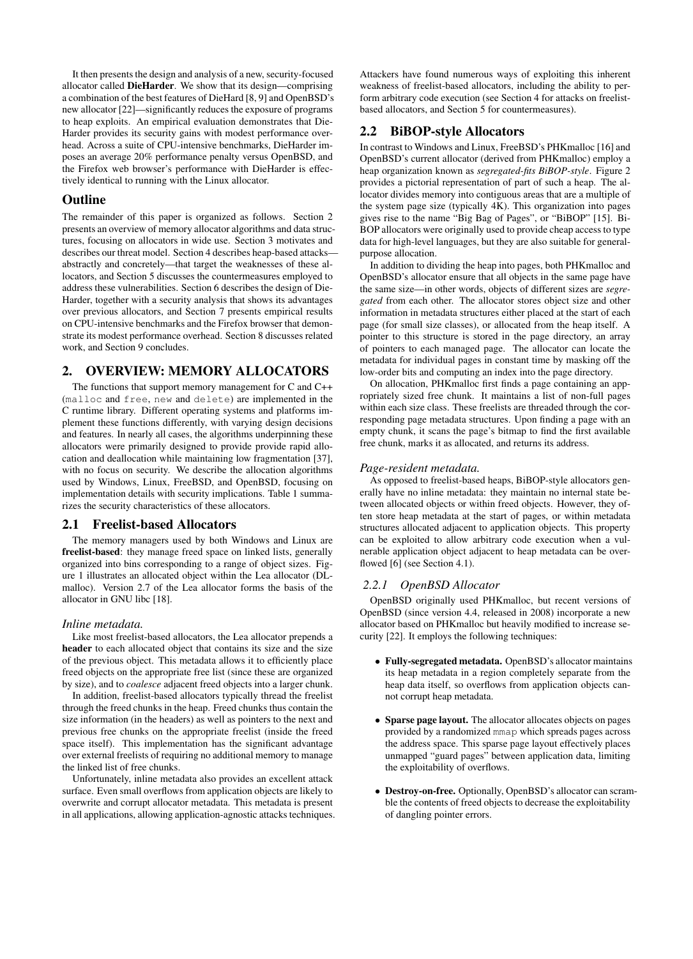It then presents the design and analysis of a new, security-focused allocator called DieHarder. We show that its design—comprising a combination of the best features of DieHard [8, 9] and OpenBSD's new allocator [22]—significantly reduces the exposure of programs to heap exploits. An empirical evaluation demonstrates that Die-Harder provides its security gains with modest performance overhead. Across a suite of CPU-intensive benchmarks, DieHarder imposes an average 20% performance penalty versus OpenBSD, and the Firefox web browser's performance with DieHarder is effectively identical to running with the Linux allocator.

# **Outline**

The remainder of this paper is organized as follows. Section 2 presents an overview of memory allocator algorithms and data structures, focusing on allocators in wide use. Section 3 motivates and describes our threat model. Section 4 describes heap-based attacks abstractly and concretely—that target the weaknesses of these allocators, and Section 5 discusses the countermeasures employed to address these vulnerabilities. Section 6 describes the design of Die-Harder, together with a security analysis that shows its advantages over previous allocators, and Section 7 presents empirical results on CPU-intensive benchmarks and the Firefox browser that demonstrate its modest performance overhead. Section 8 discusses related work, and Section 9 concludes.

# 2. OVERVIEW: MEMORY ALLOCATORS

The functions that support memory management for C and C++ (malloc and free, new and delete) are implemented in the C runtime library. Different operating systems and platforms implement these functions differently, with varying design decisions and features. In nearly all cases, the algorithms underpinning these allocators were primarily designed to provide provide rapid allocation and deallocation while maintaining low fragmentation [37], with no focus on security. We describe the allocation algorithms used by Windows, Linux, FreeBSD, and OpenBSD, focusing on implementation details with security implications. Table 1 summarizes the security characteristics of these allocators.

### 2.1 Freelist-based Allocators

The memory managers used by both Windows and Linux are freelist-based: they manage freed space on linked lists, generally organized into bins corresponding to a range of object sizes. Figure 1 illustrates an allocated object within the Lea allocator (DLmalloc). Version 2.7 of the Lea allocator forms the basis of the allocator in GNU libc [18].

### *Inline metadata.*

Like most freelist-based allocators, the Lea allocator prepends a header to each allocated object that contains its size and the size of the previous object. This metadata allows it to efficiently place freed objects on the appropriate free list (since these are organized by size), and to *coalesce* adjacent freed objects into a larger chunk.

In addition, freelist-based allocators typically thread the freelist through the freed chunks in the heap. Freed chunks thus contain the size information (in the headers) as well as pointers to the next and previous free chunks on the appropriate freelist (inside the freed space itself). This implementation has the significant advantage over external freelists of requiring no additional memory to manage the linked list of free chunks.

Unfortunately, inline metadata also provides an excellent attack surface. Even small overflows from application objects are likely to overwrite and corrupt allocator metadata. This metadata is present in all applications, allowing application-agnostic attacks techniques. Attackers have found numerous ways of exploiting this inherent weakness of freelist-based allocators, including the ability to perform arbitrary code execution (see Section 4 for attacks on freelistbased allocators, and Section 5 for countermeasures).

# 2.2 BiBOP-style Allocators

In contrast to Windows and Linux, FreeBSD's PHKmalloc [16] and OpenBSD's current allocator (derived from PHKmalloc) employ a heap organization known as *segregated-fits BiBOP-style*. Figure 2 provides a pictorial representation of part of such a heap. The allocator divides memory into contiguous areas that are a multiple of the system page size (typically 4K). This organization into pages gives rise to the name "Big Bag of Pages", or "BiBOP" [15]. Bi-BOP allocators were originally used to provide cheap access to type data for high-level languages, but they are also suitable for generalpurpose allocation.

In addition to dividing the heap into pages, both PHKmalloc and OpenBSD's allocator ensure that all objects in the same page have the same size—in other words, objects of different sizes are *segregated* from each other. The allocator stores object size and other information in metadata structures either placed at the start of each page (for small size classes), or allocated from the heap itself. A pointer to this structure is stored in the page directory, an array of pointers to each managed page. The allocator can locate the metadata for individual pages in constant time by masking off the low-order bits and computing an index into the page directory.

On allocation, PHKmalloc first finds a page containing an appropriately sized free chunk. It maintains a list of non-full pages within each size class. These freelists are threaded through the corresponding page metadata structures. Upon finding a page with an empty chunk, it scans the page's bitmap to find the first available free chunk, marks it as allocated, and returns its address.

### *Page-resident metadata.*

As opposed to freelist-based heaps, BiBOP-style allocators generally have no inline metadata: they maintain no internal state between allocated objects or within freed objects. However, they often store heap metadata at the start of pages, or within metadata structures allocated adjacent to application objects. This property can be exploited to allow arbitrary code execution when a vulnerable application object adjacent to heap metadata can be overflowed [6] (see Section 4.1).

### *2.2.1 OpenBSD Allocator*

OpenBSD originally used PHKmalloc, but recent versions of OpenBSD (since version 4.4, released in 2008) incorporate a new allocator based on PHKmalloc but heavily modified to increase security [22]. It employs the following techniques:

- Fully-segregated metadata. OpenBSD's allocator maintains its heap metadata in a region completely separate from the heap data itself, so overflows from application objects cannot corrupt heap metadata.
- Sparse page layout. The allocator allocates objects on pages provided by a randomized mmap which spreads pages across the address space. This sparse page layout effectively places unmapped "guard pages" between application data, limiting the exploitability of overflows.
- Destroy-on-free. Optionally, OpenBSD's allocator can scramble the contents of freed objects to decrease the exploitability of dangling pointer errors.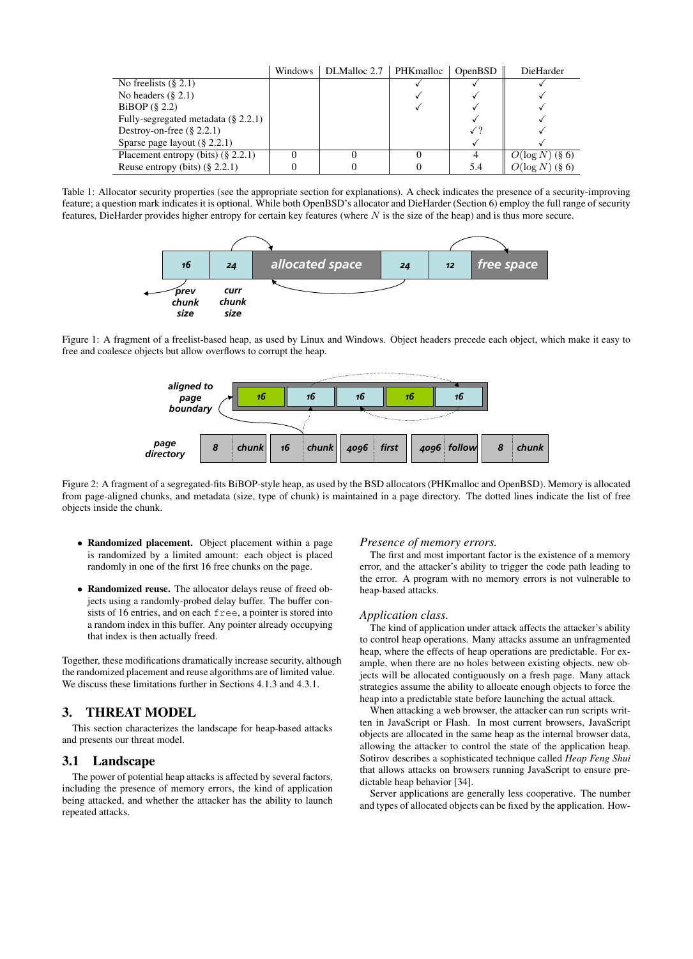|                                        | Windows | DLMalloc 2.7 | PHKmalloc | <b>OpenBSD</b> | DieHarder         |
|----------------------------------------|---------|--------------|-----------|----------------|-------------------|
| No freelists $(\S 2.1)$                |         |              |           |                |                   |
| No headers $(\S 2.1)$                  |         |              |           |                |                   |
| BiBOP $(\S$ 2.2)                       |         |              |           |                |                   |
| Fully-segregated metadata $(\S 2.2.1)$ |         |              |           |                |                   |
| Destroy-on-free $(\S 2.2.1)$           |         |              |           | $\sqrt{2}$     |                   |
| Sparse page layout $(\S 2.2.1)$        |         |              |           |                |                   |
| Placement entropy (bits) $(\S 2.2.1)$  |         |              |           |                | $O(\log N)$ (§ 6) |
| Reuse entropy (bits) $(\S 2.2.1)$      |         |              |           | 5.4            | $O(\log N)$ (§ 6) |

Table 1: Allocator security properties (see the appropriate section for explanations). A check indicates the presence of a security-improving feature; a question mark indicates it is optional. While both OpenBSD's allocator and DieHarder (Section 6) employ the full range of security features, DieHarder provides higher entropy for certain key features (where N is the size of the heap) and is thus more secure.



Figure 1: A fragment of a freelist-based heap, as used by Linux and Windows. Object headers precede each object, which make it easy to free and coalesce objects but allow overflows to corrupt the heap.



Figure 2: A fragment of a segregated-fits BiBOP-style heap, as used by the BSD allocators (PHKmalloc and OpenBSD). Memory is allocated from page-aligned chunks, and metadata (size, type of chunk) is maintained in a page directory. The dotted lines indicate the list of free objects inside the chunk.

- Randomized placement. Object placement within a page is randomized by a limited amount: each object is placed randomly in one of the first 16 free chunks on the page.
- Randomized reuse. The allocator delays reuse of freed objects using a randomly-probed delay buffer. The buffer consists of 16 entries, and on each free, a pointer is stored into a random index in this buffer. Any pointer already occupying that index is then actually freed.

Together, these modifications dramatically increase security, although the randomized placement and reuse algorithms are of limited value. We discuss these limitations further in Sections 4.1.3 and 4.3.1.

# 3. THREAT MODEL

This section characterizes the landscape for heap-based attacks and presents our threat model.

# 3.1 Landscape

The power of potential heap attacks is affected by several factors, including the presence of memory errors, the kind of application being attacked, and whether the attacker has the ability to launch repeated attacks.

### *Presence of memory errors.*

The first and most important factor is the existence of a memory error, and the attacker's ability to trigger the code path leading to the error. A program with no memory errors is not vulnerable to heap-based attacks.

### *Application class.*

The kind of application under attack affects the attacker's ability to control heap operations. Many attacks assume an unfragmented heap, where the effects of heap operations are predictable. For example, when there are no holes between existing objects, new objects will be allocated contiguously on a fresh page. Many attack strategies assume the ability to allocate enough objects to force the heap into a predictable state before launching the actual attack.

When attacking a web browser, the attacker can run scripts written in JavaScript or Flash. In most current browsers, JavaScript objects are allocated in the same heap as the internal browser data, allowing the attacker to control the state of the application heap. Sotirov describes a sophisticated technique called *Heap Feng Shui* that allows attacks on browsers running JavaScript to ensure predictable heap behavior [34].

Server applications are generally less cooperative. The number and types of allocated objects can be fixed by the application. How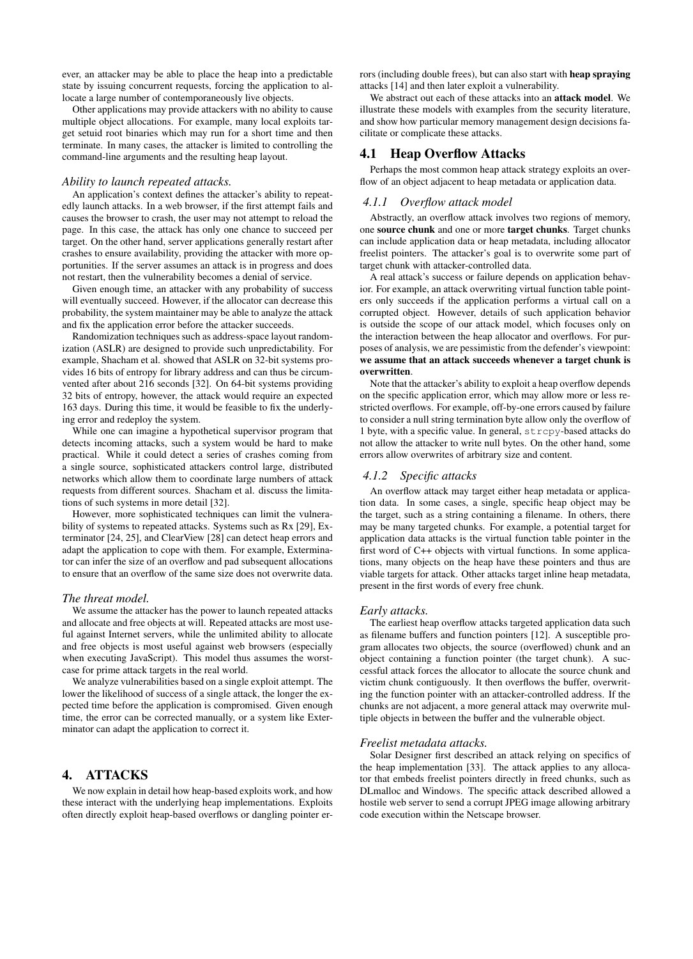ever, an attacker may be able to place the heap into a predictable state by issuing concurrent requests, forcing the application to allocate a large number of contemporaneously live objects.

Other applications may provide attackers with no ability to cause multiple object allocations. For example, many local exploits target setuid root binaries which may run for a short time and then terminate. In many cases, the attacker is limited to controlling the command-line arguments and the resulting heap layout.

#### *Ability to launch repeated attacks.*

An application's context defines the attacker's ability to repeatedly launch attacks. In a web browser, if the first attempt fails and causes the browser to crash, the user may not attempt to reload the page. In this case, the attack has only one chance to succeed per target. On the other hand, server applications generally restart after crashes to ensure availability, providing the attacker with more opportunities. If the server assumes an attack is in progress and does not restart, then the vulnerability becomes a denial of service.

Given enough time, an attacker with any probability of success will eventually succeed. However, if the allocator can decrease this probability, the system maintainer may be able to analyze the attack and fix the application error before the attacker succeeds.

Randomization techniques such as address-space layout randomization (ASLR) are designed to provide such unpredictability. For example, Shacham et al. showed that ASLR on 32-bit systems provides 16 bits of entropy for library address and can thus be circumvented after about 216 seconds [32]. On 64-bit systems providing 32 bits of entropy, however, the attack would require an expected 163 days. During this time, it would be feasible to fix the underlying error and redeploy the system.

While one can imagine a hypothetical supervisor program that detects incoming attacks, such a system would be hard to make practical. While it could detect a series of crashes coming from a single source, sophisticated attackers control large, distributed networks which allow them to coordinate large numbers of attack requests from different sources. Shacham et al. discuss the limitations of such systems in more detail [32].

However, more sophisticated techniques can limit the vulnerability of systems to repeated attacks. Systems such as Rx [29], Exterminator [24, 25], and ClearView [28] can detect heap errors and adapt the application to cope with them. For example, Exterminator can infer the size of an overflow and pad subsequent allocations to ensure that an overflow of the same size does not overwrite data.

#### *The threat model.*

We assume the attacker has the power to launch repeated attacks and allocate and free objects at will. Repeated attacks are most useful against Internet servers, while the unlimited ability to allocate and free objects is most useful against web browsers (especially when executing JavaScript). This model thus assumes the worstcase for prime attack targets in the real world.

We analyze vulnerabilities based on a single exploit attempt. The lower the likelihood of success of a single attack, the longer the expected time before the application is compromised. Given enough time, the error can be corrected manually, or a system like Exterminator can adapt the application to correct it.

### 4. ATTACKS

We now explain in detail how heap-based exploits work, and how these interact with the underlying heap implementations. Exploits often directly exploit heap-based overflows or dangling pointer errors (including double frees), but can also start with heap spraying attacks [14] and then later exploit a vulnerability.

We abstract out each of these attacks into an **attack model**. We illustrate these models with examples from the security literature, and show how particular memory management design decisions facilitate or complicate these attacks.

# 4.1 Heap Overflow Attacks

Perhaps the most common heap attack strategy exploits an overflow of an object adjacent to heap metadata or application data.

#### *4.1.1 Overflow attack model*

Abstractly, an overflow attack involves two regions of memory, one source chunk and one or more target chunks. Target chunks can include application data or heap metadata, including allocator freelist pointers. The attacker's goal is to overwrite some part of target chunk with attacker-controlled data.

A real attack's success or failure depends on application behavior. For example, an attack overwriting virtual function table pointers only succeeds if the application performs a virtual call on a corrupted object. However, details of such application behavior is outside the scope of our attack model, which focuses only on the interaction between the heap allocator and overflows. For purposes of analysis, we are pessimistic from the defender's viewpoint: we assume that an attack succeeds whenever a target chunk is overwritten.

Note that the attacker's ability to exploit a heap overflow depends on the specific application error, which may allow more or less restricted overflows. For example, off-by-one errors caused by failure to consider a null string termination byte allow only the overflow of 1 byte, with a specific value. In general, strcpy-based attacks do not allow the attacker to write null bytes. On the other hand, some errors allow overwrites of arbitrary size and content.

### *4.1.2 Specific attacks*

An overflow attack may target either heap metadata or application data. In some cases, a single, specific heap object may be the target, such as a string containing a filename. In others, there may be many targeted chunks. For example, a potential target for application data attacks is the virtual function table pointer in the first word of C++ objects with virtual functions. In some applications, many objects on the heap have these pointers and thus are viable targets for attack. Other attacks target inline heap metadata, present in the first words of every free chunk.

### *Early attacks.*

The earliest heap overflow attacks targeted application data such as filename buffers and function pointers [12]. A susceptible program allocates two objects, the source (overflowed) chunk and an object containing a function pointer (the target chunk). A successful attack forces the allocator to allocate the source chunk and victim chunk contiguously. It then overflows the buffer, overwriting the function pointer with an attacker-controlled address. If the chunks are not adjacent, a more general attack may overwrite multiple objects in between the buffer and the vulnerable object.

#### *Freelist metadata attacks.*

Solar Designer first described an attack relying on specifics of the heap implementation [33]. The attack applies to any allocator that embeds freelist pointers directly in freed chunks, such as DLmalloc and Windows. The specific attack described allowed a hostile web server to send a corrupt JPEG image allowing arbitrary code execution within the Netscape browser.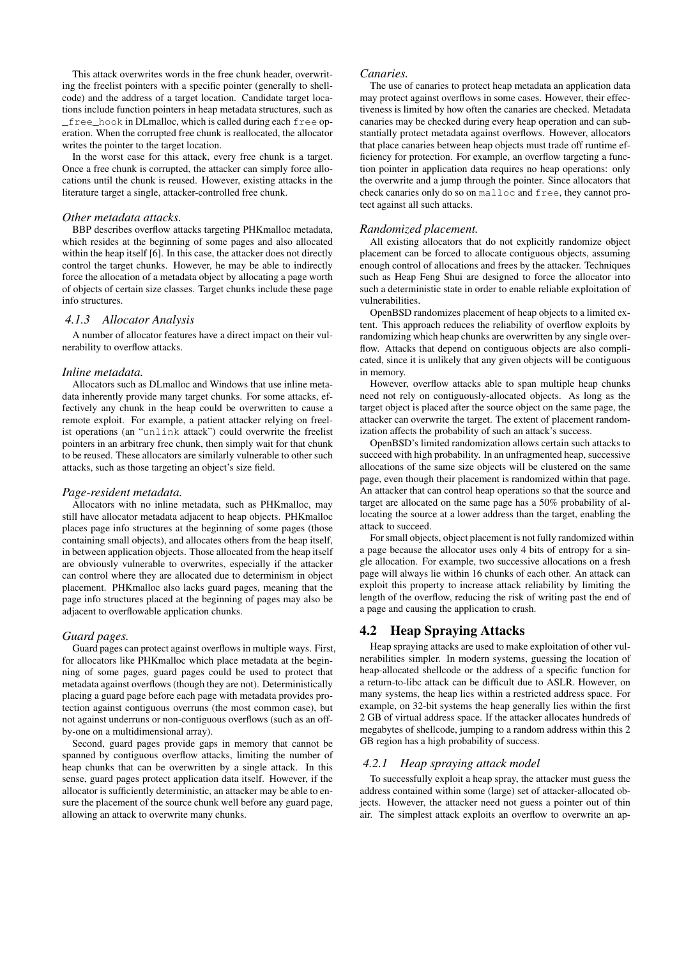This attack overwrites words in the free chunk header, overwriting the freelist pointers with a specific pointer (generally to shellcode) and the address of a target location. Candidate target locations include function pointers in heap metadata structures, such as \_free\_hook in DLmalloc, which is called during each free operation. When the corrupted free chunk is reallocated, the allocator writes the pointer to the target location.

In the worst case for this attack, every free chunk is a target. Once a free chunk is corrupted, the attacker can simply force allocations until the chunk is reused. However, existing attacks in the literature target a single, attacker-controlled free chunk.

#### *Other metadata attacks.*

BBP describes overflow attacks targeting PHKmalloc metadata, which resides at the beginning of some pages and also allocated within the heap itself [6]. In this case, the attacker does not directly control the target chunks. However, he may be able to indirectly force the allocation of a metadata object by allocating a page worth of objects of certain size classes. Target chunks include these page info structures.

### *4.1.3 Allocator Analysis*

A number of allocator features have a direct impact on their vulnerability to overflow attacks.

#### *Inline metadata.*

Allocators such as DLmalloc and Windows that use inline metadata inherently provide many target chunks. For some attacks, effectively any chunk in the heap could be overwritten to cause a remote exploit. For example, a patient attacker relying on freelist operations (an "unlink attack") could overwrite the freelist pointers in an arbitrary free chunk, then simply wait for that chunk to be reused. These allocators are similarly vulnerable to other such attacks, such as those targeting an object's size field.

#### *Page-resident metadata.*

Allocators with no inline metadata, such as PHKmalloc, may still have allocator metadata adjacent to heap objects. PHKmalloc places page info structures at the beginning of some pages (those containing small objects), and allocates others from the heap itself, in between application objects. Those allocated from the heap itself are obviously vulnerable to overwrites, especially if the attacker can control where they are allocated due to determinism in object placement. PHKmalloc also lacks guard pages, meaning that the page info structures placed at the beginning of pages may also be adjacent to overflowable application chunks.

#### *Guard pages.*

Guard pages can protect against overflows in multiple ways. First, for allocators like PHKmalloc which place metadata at the beginning of some pages, guard pages could be used to protect that metadata against overflows (though they are not). Deterministically placing a guard page before each page with metadata provides protection against contiguous overruns (the most common case), but not against underruns or non-contiguous overflows (such as an offby-one on a multidimensional array).

Second, guard pages provide gaps in memory that cannot be spanned by contiguous overflow attacks, limiting the number of heap chunks that can be overwritten by a single attack. In this sense, guard pages protect application data itself. However, if the allocator is sufficiently deterministic, an attacker may be able to ensure the placement of the source chunk well before any guard page, allowing an attack to overwrite many chunks.

#### *Canaries.*

The use of canaries to protect heap metadata an application data may protect against overflows in some cases. However, their effectiveness is limited by how often the canaries are checked. Metadata canaries may be checked during every heap operation and can substantially protect metadata against overflows. However, allocators that place canaries between heap objects must trade off runtime efficiency for protection. For example, an overflow targeting a function pointer in application data requires no heap operations: only the overwrite and a jump through the pointer. Since allocators that check canaries only do so on malloc and free, they cannot protect against all such attacks.

#### *Randomized placement.*

All existing allocators that do not explicitly randomize object placement can be forced to allocate contiguous objects, assuming enough control of allocations and frees by the attacker. Techniques such as Heap Feng Shui are designed to force the allocator into such a deterministic state in order to enable reliable exploitation of vulnerabilities.

OpenBSD randomizes placement of heap objects to a limited extent. This approach reduces the reliability of overflow exploits by randomizing which heap chunks are overwritten by any single overflow. Attacks that depend on contiguous objects are also complicated, since it is unlikely that any given objects will be contiguous in memory.

However, overflow attacks able to span multiple heap chunks need not rely on contiguously-allocated objects. As long as the target object is placed after the source object on the same page, the attacker can overwrite the target. The extent of placement randomization affects the probability of such an attack's success.

OpenBSD's limited randomization allows certain such attacks to succeed with high probability. In an unfragmented heap, successive allocations of the same size objects will be clustered on the same page, even though their placement is randomized within that page. An attacker that can control heap operations so that the source and target are allocated on the same page has a 50% probability of allocating the source at a lower address than the target, enabling the attack to succeed.

For small objects, object placement is not fully randomized within a page because the allocator uses only 4 bits of entropy for a single allocation. For example, two successive allocations on a fresh page will always lie within 16 chunks of each other. An attack can exploit this property to increase attack reliability by limiting the length of the overflow, reducing the risk of writing past the end of a page and causing the application to crash.

# 4.2 Heap Spraying Attacks

Heap spraying attacks are used to make exploitation of other vulnerabilities simpler. In modern systems, guessing the location of heap-allocated shellcode or the address of a specific function for a return-to-libc attack can be difficult due to ASLR. However, on many systems, the heap lies within a restricted address space. For example, on 32-bit systems the heap generally lies within the first 2 GB of virtual address space. If the attacker allocates hundreds of megabytes of shellcode, jumping to a random address within this 2 GB region has a high probability of success.

#### *4.2.1 Heap spraying attack model*

To successfully exploit a heap spray, the attacker must guess the address contained within some (large) set of attacker-allocated objects. However, the attacker need not guess a pointer out of thin air. The simplest attack exploits an overflow to overwrite an ap-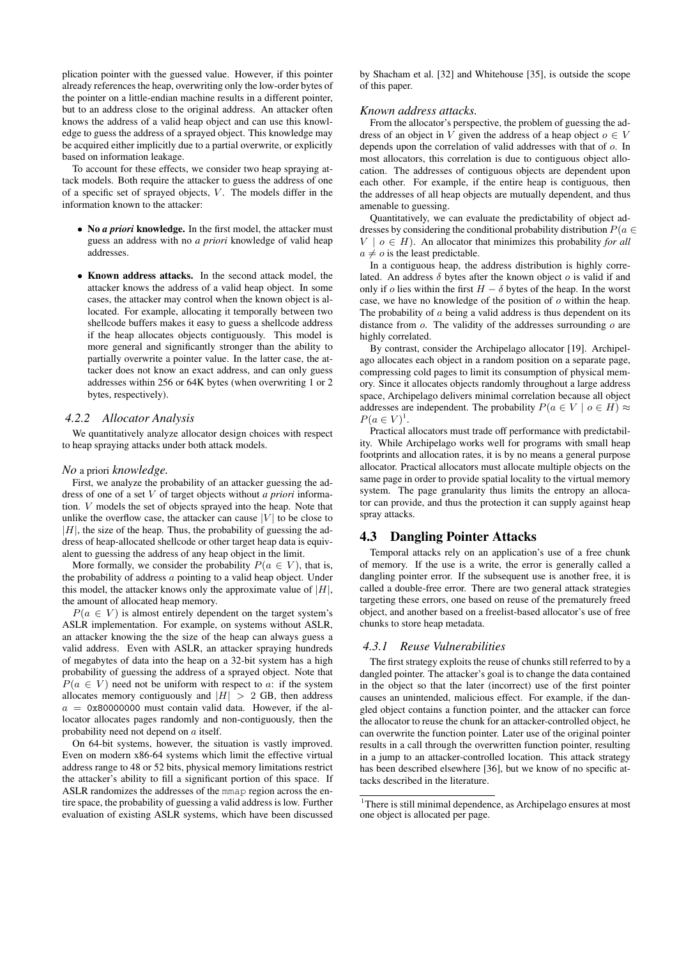plication pointer with the guessed value. However, if this pointer already references the heap, overwriting only the low-order bytes of the pointer on a little-endian machine results in a different pointer, but to an address close to the original address. An attacker often knows the address of a valid heap object and can use this knowledge to guess the address of a sprayed object. This knowledge may be acquired either implicitly due to a partial overwrite, or explicitly based on information leakage.

To account for these effects, we consider two heap spraying attack models. Both require the attacker to guess the address of one of a specific set of sprayed objects,  $V$ . The models differ in the information known to the attacker:

- No *a priori* knowledge. In the first model, the attacker must guess an address with no *a priori* knowledge of valid heap addresses.
- Known address attacks. In the second attack model, the attacker knows the address of a valid heap object. In some cases, the attacker may control when the known object is allocated. For example, allocating it temporally between two shellcode buffers makes it easy to guess a shellcode address if the heap allocates objects contiguously. This model is more general and significantly stronger than the ability to partially overwrite a pointer value. In the latter case, the attacker does not know an exact address, and can only guess addresses within 256 or 64K bytes (when overwriting 1 or 2 bytes, respectively).

#### *4.2.2 Allocator Analysis*

We quantitatively analyze allocator design choices with respect to heap spraying attacks under both attack models.

#### *No* a priori *knowledge.*

First, we analyze the probability of an attacker guessing the address of one of a set V of target objects without *a priori* information. V models the set of objects sprayed into the heap. Note that unlike the overflow case, the attacker can cause  $|V|$  to be close to  $|H|$ , the size of the heap. Thus, the probability of guessing the address of heap-allocated shellcode or other target heap data is equivalent to guessing the address of any heap object in the limit.

More formally, we consider the probability  $P(a \in V)$ , that is, the probability of address  $a$  pointing to a valid heap object. Under this model, the attacker knows only the approximate value of  $|H|$ , the amount of allocated heap memory.

 $P(a \in V)$  is almost entirely dependent on the target system's ASLR implementation. For example, on systems without ASLR, an attacker knowing the the size of the heap can always guess a valid address. Even with ASLR, an attacker spraying hundreds of megabytes of data into the heap on a 32-bit system has a high probability of guessing the address of a sprayed object. Note that  $P(a \in V)$  need not be uniform with respect to a: if the system allocates memory contiguously and  $|H| > 2$  GB, then address  $a = 0x80000000$  must contain valid data. However, if the allocator allocates pages randomly and non-contiguously, then the probability need not depend on a itself.

On 64-bit systems, however, the situation is vastly improved. Even on modern x86-64 systems which limit the effective virtual address range to 48 or 52 bits, physical memory limitations restrict the attacker's ability to fill a significant portion of this space. If ASLR randomizes the addresses of the mmap region across the entire space, the probability of guessing a valid address is low. Further evaluation of existing ASLR systems, which have been discussed by Shacham et al. [32] and Whitehouse [35], is outside the scope of this paper.

#### *Known address attacks.*

From the allocator's perspective, the problem of guessing the address of an object in V given the address of a heap object  $o \in V$ depends upon the correlation of valid addresses with that of o. In most allocators, this correlation is due to contiguous object allocation. The addresses of contiguous objects are dependent upon each other. For example, if the entire heap is contiguous, then the addresses of all heap objects are mutually dependent, and thus amenable to guessing.

Quantitatively, we can evaluate the predictability of object addresses by considering the conditional probability distribution  $P(a \in$  $V \mid o \in H$ ). An allocator that minimizes this probability *for all*  $a \neq o$  is the least predictable.

In a contiguous heap, the address distribution is highly correlated. An address  $\delta$  bytes after the known object  $\delta$  is valid if and only if o lies within the first  $H - \delta$  bytes of the heap. In the worst case, we have no knowledge of the position of o within the heap. The probability of  $a$  being a valid address is thus dependent on its distance from  $o$ . The validity of the addresses surrounding  $o$  are highly correlated.

By contrast, consider the Archipelago allocator [19]. Archipelago allocates each object in a random position on a separate page, compressing cold pages to limit its consumption of physical memory. Since it allocates objects randomly throughout a large address space, Archipelago delivers minimal correlation because all object addresses are independent. The probability  $P(a \in V \mid o \in H) \approx$  $P(a \in V)^1$ .

Practical allocators must trade off performance with predictability. While Archipelago works well for programs with small heap footprints and allocation rates, it is by no means a general purpose allocator. Practical allocators must allocate multiple objects on the same page in order to provide spatial locality to the virtual memory system. The page granularity thus limits the entropy an allocator can provide, and thus the protection it can supply against heap spray attacks.

# 4.3 Dangling Pointer Attacks

Temporal attacks rely on an application's use of a free chunk of memory. If the use is a write, the error is generally called a dangling pointer error. If the subsequent use is another free, it is called a double-free error. There are two general attack strategies targeting these errors, one based on reuse of the prematurely freed object, and another based on a freelist-based allocator's use of free chunks to store heap metadata.

#### *4.3.1 Reuse Vulnerabilities*

The first strategy exploits the reuse of chunks still referred to by a dangled pointer. The attacker's goal is to change the data contained in the object so that the later (incorrect) use of the first pointer causes an unintended, malicious effect. For example, if the dangled object contains a function pointer, and the attacker can force the allocator to reuse the chunk for an attacker-controlled object, he can overwrite the function pointer. Later use of the original pointer results in a call through the overwritten function pointer, resulting in a jump to an attacker-controlled location. This attack strategy has been described elsewhere [36], but we know of no specific attacks described in the literature.

<sup>&</sup>lt;sup>1</sup>There is still minimal dependence, as Archipelago ensures at most one object is allocated per page.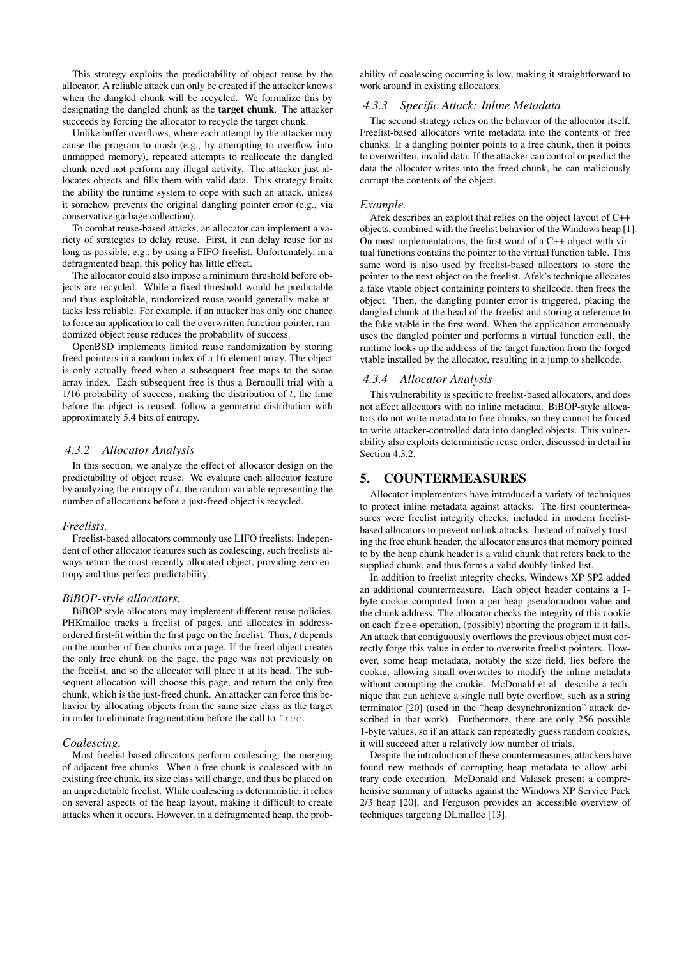This strategy exploits the predictability of object reuse by the allocator. A reliable attack can only be created if the attacker knows when the dangled chunk will be recycled. We formalize this by designating the dangled chunk as the target chunk. The attacker succeeds by forcing the allocator to recycle the target chunk.

Unlike buffer overflows, where each attempt by the attacker may cause the program to crash (e.g., by attempting to overflow into unmapped memory), repeated attempts to reallocate the dangled chunk need not perform any illegal activity. The attacker just allocates objects and fills them with valid data. This strategy limits the ability the runtime system to cope with such an attack, unless it somehow prevents the original dangling pointer error (e.g., via conservative garbage collection).

To combat reuse-based attacks, an allocator can implement a variety of strategies to delay reuse. First, it can delay reuse for as long as possible, e.g., by using a FIFO freelist. Unfortunately, in a defragmented heap, this policy has little effect.

The allocator could also impose a minimum threshold before objects are recycled. While a fixed threshold would be predictable and thus exploitable, randomized reuse would generally make attacks less reliable. For example, if an attacker has only one chance to force an application to call the overwritten function pointer, randomized object reuse reduces the probability of success.

OpenBSD implements limited reuse randomization by storing freed pointers in a random index of a 16-element array. The object is only actually freed when a subsequent free maps to the same array index. Each subsequent free is thus a Bernoulli trial with a  $1/16$  probability of success, making the distribution of t, the time before the object is reused, follow a geometric distribution with approximately 5.4 bits of entropy.

#### *4.3.2 Allocator Analysis*

In this section, we analyze the effect of allocator design on the predictability of object reuse. We evaluate each allocator feature by analyzing the entropy of  $t$ , the random variable representing the number of allocations before a just-freed object is recycled.

#### *Freelists.*

Freelist-based allocators commonly use LIFO freelists. Independent of other allocator features such as coalescing, such freelists always return the most-recently allocated object, providing zero entropy and thus perfect predictability.

### *BiBOP-style allocators.*

BiBOP-style allocators may implement different reuse policies. PHKmalloc tracks a freelist of pages, and allocates in addressordered first-fit within the first page on the freelist. Thus,  $t$  depends on the number of free chunks on a page. If the freed object creates the only free chunk on the page, the page was not previously on the freelist, and so the allocator will place it at its head. The subsequent allocation will choose this page, and return the only free chunk, which is the just-freed chunk. An attacker can force this behavior by allocating objects from the same size class as the target in order to eliminate fragmentation before the call to free.

### *Coalescing.*

Most freelist-based allocators perform coalescing, the merging of adjacent free chunks. When a free chunk is coalesced with an existing free chunk, its size class will change, and thus be placed on an unpredictable freelist. While coalescing is deterministic, it relies on several aspects of the heap layout, making it difficult to create attacks when it occurs. However, in a defragmented heap, the probability of coalescing occurring is low, making it straightforward to work around in existing allocators.

# *4.3.3 Specific Attack: Inline Metadata*

The second strategy relies on the behavior of the allocator itself. Freelist-based allocators write metadata into the contents of free chunks. If a dangling pointer points to a free chunk, then it points to overwritten, invalid data. If the attacker can control or predict the data the allocator writes into the freed chunk, he can maliciously corrupt the contents of the object.

#### *Example.*

Afek describes an exploit that relies on the object layout of C++ objects, combined with the freelist behavior of the Windows heap [1]. On most implementations, the first word of a C++ object with virtual functions contains the pointer to the virtual function table. This same word is also used by freelist-based allocators to store the pointer to the next object on the freelist. Afek's technique allocates a fake vtable object containing pointers to shellcode, then frees the object. Then, the dangling pointer error is triggered, placing the dangled chunk at the head of the freelist and storing a reference to the fake vtable in the first word. When the application erroneously uses the dangled pointer and performs a virtual function call, the runtime looks up the address of the target function from the forged vtable installed by the allocator, resulting in a jump to shellcode.

#### *4.3.4 Allocator Analysis*

This vulnerability is specific to freelist-based allocators, and does not affect allocators with no inline metadata. BiBOP-style allocators do not write metadata to free chunks, so they cannot be forced to write attacker-controlled data into dangled objects. This vulnerability also exploits deterministic reuse order, discussed in detail in Section 4.3.2.

# 5. COUNTERMEASURES

Allocator implementors have introduced a variety of techniques to protect inline metadata against attacks. The first countermeasures were freelist integrity checks, included in modern freelistbased allocators to prevent unlink attacks. Instead of naïvely trusting the free chunk header, the allocator ensures that memory pointed to by the heap chunk header is a valid chunk that refers back to the supplied chunk, and thus forms a valid doubly-linked list.

In addition to freelist integrity checks, Windows XP SP2 added an additional countermeasure. Each object header contains a 1 byte cookie computed from a per-heap pseudorandom value and the chunk address. The allocator checks the integrity of this cookie on each free operation, (possibly) aborting the program if it fails. An attack that contiguously overflows the previous object must correctly forge this value in order to overwrite freelist pointers. However, some heap metadata, notably the size field, lies before the cookie, allowing small overwrites to modify the inline metadata without corrupting the cookie. McDonald et al. describe a technique that can achieve a single null byte overflow, such as a string terminator [20] (used in the "heap desynchronization" attack described in that work). Furthermore, there are only 256 possible 1-byte values, so if an attack can repeatedly guess random cookies, it will succeed after a relatively low number of trials.

Despite the introduction of these countermeasures, attackers have found new methods of corrupting heap metadata to allow arbitrary code execution. McDonald and Valasek present a comprehensive summary of attacks against the Windows XP Service Pack 2/3 heap [20], and Ferguson provides an accessible overview of techniques targeting DLmalloc [13].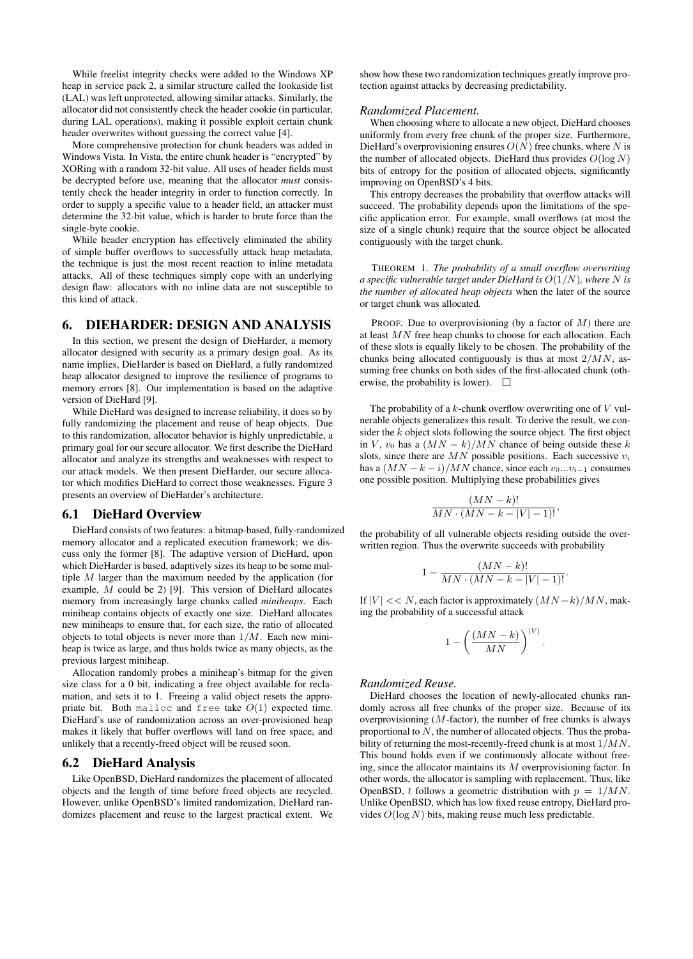While freelist integrity checks were added to the Windows XP heap in service pack 2, a similar structure called the lookaside list (LAL) was left unprotected, allowing similar attacks. Similarly, the allocator did not consistently check the header cookie (in particular, during LAL operations), making it possible exploit certain chunk header overwrites without guessing the correct value [4].

More comprehensive protection for chunk headers was added in Windows Vista. In Vista, the entire chunk header is "encrypted" by XORing with a random 32-bit value. All uses of header fields must be decrypted before use, meaning that the allocator *must* consistently check the header integrity in order to function correctly. In order to supply a specific value to a header field, an attacker must determine the 32-bit value, which is harder to brute force than the single-byte cookie.

While header encryption has effectively eliminated the ability of simple buffer overflows to successfully attack heap metadata, the technique is just the most recent reaction to inline metadata attacks. All of these techniques simply cope with an underlying design flaw: allocators with no inline data are not susceptible to this kind of attack.

# 6. DIEHARDER: DESIGN AND ANALYSIS

In this section, we present the design of DieHarder, a memory allocator designed with security as a primary design goal. As its name implies, DieHarder is based on DieHard, a fully randomized heap allocator designed to improve the resilience of programs to memory errors [8]. Our implementation is based on the adaptive version of DieHard [9].

While DieHard was designed to increase reliability, it does so by fully randomizing the placement and reuse of heap objects. Due to this randomization, allocator behavior is highly unpredictable, a primary goal for our secure allocator. We first describe the DieHard allocator and analyze its strengths and weaknesses with respect to our attack models. We then present DieHarder, our secure allocator which modifies DieHard to correct those weaknesses. Figure 3 presents an overview of DieHarder's architecture.

### 6.1 DieHard Overview

DieHard consists of two features: a bitmap-based, fully-randomized memory allocator and a replicated execution framework; we discuss only the former [8]. The adaptive version of DieHard, upon which DieHarder is based, adaptively sizes its heap to be some multiple  $M$  larger than the maximum needed by the application (for example, M could be 2) [9]. This version of DieHard allocates memory from increasingly large chunks called *miniheaps*. Each miniheap contains objects of exactly one size. DieHard allocates new miniheaps to ensure that, for each size, the ratio of allocated objects to total objects is never more than  $1/M$ . Each new miniheap is twice as large, and thus holds twice as many objects, as the previous largest miniheap.

Allocation randomly probes a miniheap's bitmap for the given size class for a 0 bit, indicating a free object available for reclamation, and sets it to 1. Freeing a valid object resets the appropriate bit. Both malloc and free take  $O(1)$  expected time. DieHard's use of randomization across an over-provisioned heap makes it likely that buffer overflows will land on free space, and unlikely that a recently-freed object will be reused soon.

#### 6.2 DieHard Analysis

Like OpenBSD, DieHard randomizes the placement of allocated objects and the length of time before freed objects are recycled. However, unlike OpenBSD's limited randomization, DieHard randomizes placement and reuse to the largest practical extent. We show how these two randomization techniques greatly improve protection against attacks by decreasing predictability.

### *Randomized Placement.*

When choosing where to allocate a new object, DieHard chooses uniformly from every free chunk of the proper size. Furthermore, DieHard's overprovisioning ensures  $O(N)$  free chunks, where N is the number of allocated objects. DieHard thus provides  $O(\log N)$ bits of entropy for the position of allocated objects, significantly improving on OpenBSD's 4 bits.

This entropy decreases the probability that overflow attacks will succeed. The probability depends upon the limitations of the specific application error. For example, small overflows (at most the size of a single chunk) require that the source object be allocated contiguously with the target chunk.

THEOREM 1. *The probability of a small overflow overwriting a specific vulnerable target under DieHard is* O(1/N)*, where* N *is the number of allocated heap objects* when the later of the source or target chunk was allocated*.*

PROOF. Due to overprovisioning (by a factor of  $M$ ) there are at least  $MN$  free heap chunks to choose for each allocation. Each of these slots is equally likely to be chosen. The probability of the chunks being allocated contiguously is thus at most  $2/MN$ , assuming free chunks on both sides of the first-allocated chunk (otherwise, the probability is lower).  $\Box$ 

The probability of a  $k$ -chunk overflow overwriting one of  $V$  vulnerable objects generalizes this result. To derive the result, we consider the k object slots following the source object. The first object in V,  $v_0$  has a  $(MN - k)/MN$  chance of being outside these k slots, since there are  $MN$  possible positions. Each successive  $v_i$ has a  $(MN - k - i)/MN$  chance, since each  $v_0...v_{i-1}$  consumes one possible position. Multiplying these probabilities gives

$$
\frac{(MN-k)!}{MN\cdot (MN-k-|V|-1)!},
$$

the probability of all vulnerable objects residing outside the overwritten region. Thus the overwrite succeeds with probability

$$
1 - \frac{(MN-k)!}{MN \cdot (MN-k-|V|-1)!}.
$$

If  $|V| \ll N$ , each factor is approximately  $(MN-k)/MN$ , making the probability of a successful attack

$$
1-\left(\frac{(MN-k)}{MN}\right)^{|V|}
$$

.

#### *Randomized Reuse.*

DieHard chooses the location of newly-allocated chunks randomly across all free chunks of the proper size. Because of its overprovisioning  $(M$ -factor), the number of free chunks is always proportional to N, the number of allocated objects. Thus the probability of returning the most-recently-freed chunk is at most 1/MN. This bound holds even if we continuously allocate without freeing, since the allocator maintains its  $M$  overprovisioning factor. In other words, the allocator is sampling with replacement. Thus, like OpenBSD, t follows a geometric distribution with  $p = 1/MN$ . Unlike OpenBSD, which has low fixed reuse entropy, DieHard provides  $O(\log N)$  bits, making reuse much less predictable.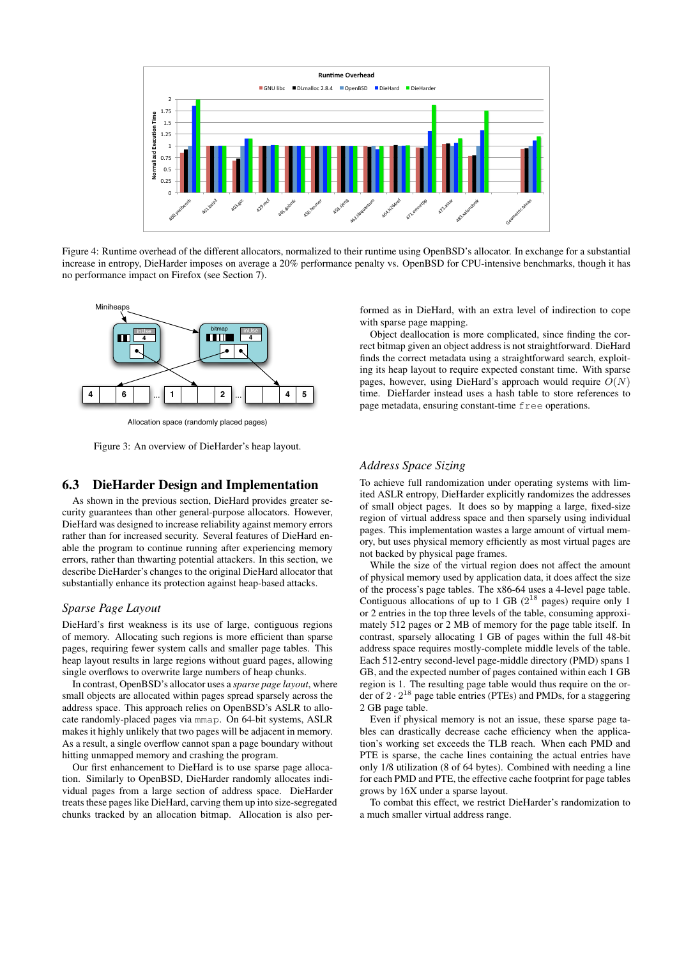

Figure 4: Runtime overhead of the different allocators, normalized to their runtime using OpenBSD's allocator. In exchange for a substantial increase in entropy, DieHarder imposes on average a 20% performance penalty vs. OpenBSD for CPU-intensive benchmarks, though it has no performance impact on Firefox (see Section 7).



Allocation space (randomly placed pages)

Figure 3: An overview of DieHarder's heap layout.

# 6.3 DieHarder Design and Implementation

As shown in the previous section, DieHard provides greater security guarantees than other general-purpose allocators. However, DieHard was designed to increase reliability against memory errors rather than for increased security. Several features of DieHard enable the program to continue running after experiencing memory errors, rather than thwarting potential attackers. In this section, we describe DieHarder's changes to the original DieHard allocator that substantially enhance its protection against heap-based attacks.

### *Sparse Page Layout*

DieHard's first weakness is its use of large, contiguous regions of memory. Allocating such regions is more efficient than sparse pages, requiring fewer system calls and smaller page tables. This heap layout results in large regions without guard pages, allowing single overflows to overwrite large numbers of heap chunks.

In contrast, OpenBSD's allocator uses a *sparse page layout*, where small objects are allocated within pages spread sparsely across the address space. This approach relies on OpenBSD's ASLR to allocate randomly-placed pages via mmap. On 64-bit systems, ASLR makes it highly unlikely that two pages will be adjacent in memory. As a result, a single overflow cannot span a page boundary without hitting unmapped memory and crashing the program.

Our first enhancement to DieHard is to use sparse page allocation. Similarly to OpenBSD, DieHarder randomly allocates individual pages from a large section of address space. DieHarder treats these pages like DieHard, carving them up into size-segregated chunks tracked by an allocation bitmap. Allocation is also performed as in DieHard, with an extra level of indirection to cope with sparse page mapping.

Object deallocation is more complicated, since finding the correct bitmap given an object address is not straightforward. DieHard finds the correct metadata using a straightforward search, exploiting its heap layout to require expected constant time. With sparse pages, however, using DieHard's approach would require  $O(N)$ time. DieHarder instead uses a hash table to store references to page metadata, ensuring constant-time free operations.

# *Address Space Sizing*

To achieve full randomization under operating systems with limited ASLR entropy, DieHarder explicitly randomizes the addresses of small object pages. It does so by mapping a large, fixed-size region of virtual address space and then sparsely using individual pages. This implementation wastes a large amount of virtual memory, but uses physical memory efficiently as most virtual pages are not backed by physical page frames.

While the size of the virtual region does not affect the amount of physical memory used by application data, it does affect the size of the process's page tables. The x86-64 uses a 4-level page table. Contiguous allocations of up to 1 GB  $(2^{18}$  pages) require only 1 or 2 entries in the top three levels of the table, consuming approximately 512 pages or 2 MB of memory for the page table itself. In contrast, sparsely allocating 1 GB of pages within the full 48-bit address space requires mostly-complete middle levels of the table. Each 512-entry second-level page-middle directory (PMD) spans 1 GB, and the expected number of pages contained within each 1 GB region is 1. The resulting page table would thus require on the order of  $2 \cdot 2^{18}$  page table entries (PTEs) and PMDs, for a staggering 2 GB page table.

Even if physical memory is not an issue, these sparse page tables can drastically decrease cache efficiency when the application's working set exceeds the TLB reach. When each PMD and PTE is sparse, the cache lines containing the actual entries have only 1/8 utilization (8 of 64 bytes). Combined with needing a line for each PMD and PTE, the effective cache footprint for page tables grows by 16X under a sparse layout.

To combat this effect, we restrict DieHarder's randomization to a much smaller virtual address range.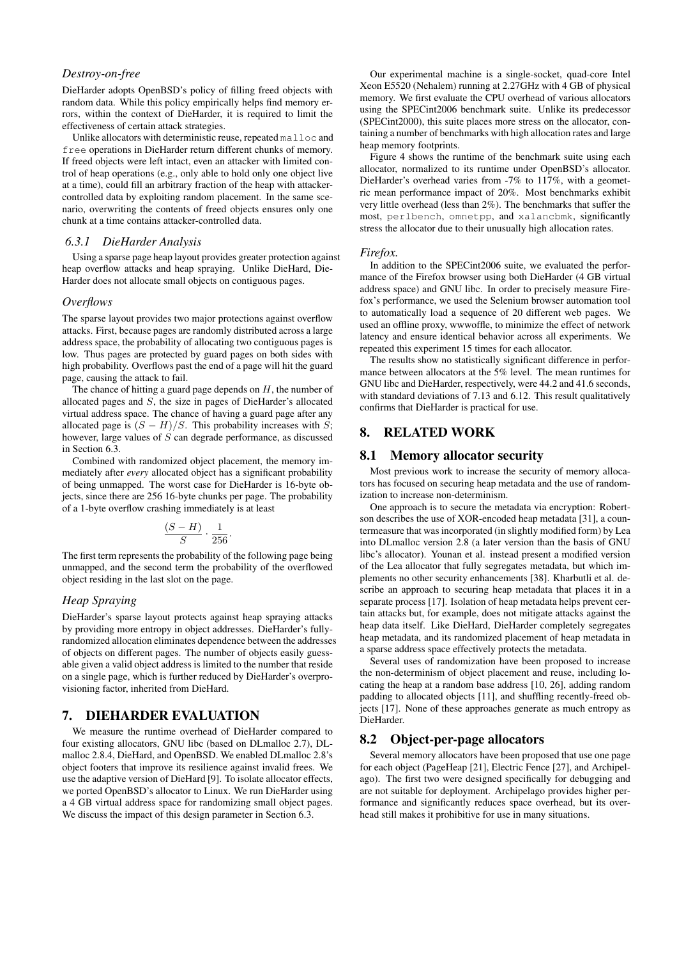#### *Destroy-on-free*

DieHarder adopts OpenBSD's policy of filling freed objects with random data. While this policy empirically helps find memory errors, within the context of DieHarder, it is required to limit the effectiveness of certain attack strategies.

Unlike allocators with deterministic reuse, repeated malloc and free operations in DieHarder return different chunks of memory. If freed objects were left intact, even an attacker with limited control of heap operations (e.g., only able to hold only one object live at a time), could fill an arbitrary fraction of the heap with attackercontrolled data by exploiting random placement. In the same scenario, overwriting the contents of freed objects ensures only one chunk at a time contains attacker-controlled data.

#### *6.3.1 DieHarder Analysis*

Using a sparse page heap layout provides greater protection against heap overflow attacks and heap spraying. Unlike DieHard, Die-Harder does not allocate small objects on contiguous pages.

#### *Overflows*

The sparse layout provides two major protections against overflow attacks. First, because pages are randomly distributed across a large address space, the probability of allocating two contiguous pages is low. Thus pages are protected by guard pages on both sides with high probability. Overflows past the end of a page will hit the guard page, causing the attack to fail.

The chance of hitting a guard page depends on  $H$ , the number of allocated pages and S, the size in pages of DieHarder's allocated virtual address space. The chance of having a guard page after any allocated page is  $(S - H)/S$ . This probability increases with S; however, large values of  $S$  can degrade performance, as discussed in Section 6.3.

Combined with randomized object placement, the memory immediately after *every* allocated object has a significant probability of being unmapped. The worst case for DieHarder is 16-byte objects, since there are 256 16-byte chunks per page. The probability of a 1-byte overflow crashing immediately is at least

$$
\frac{(S-H)}{S} \cdot \frac{1}{256}
$$

.

The first term represents the probability of the following page being unmapped, and the second term the probability of the overflowed object residing in the last slot on the page.

### *Heap Spraying*

DieHarder's sparse layout protects against heap spraying attacks by providing more entropy in object addresses. DieHarder's fullyrandomized allocation eliminates dependence between the addresses of objects on different pages. The number of objects easily guessable given a valid object address is limited to the number that reside on a single page, which is further reduced by DieHarder's overprovisioning factor, inherited from DieHard.

# 7. DIEHARDER EVALUATION

We measure the runtime overhead of DieHarder compared to four existing allocators, GNU libc (based on DLmalloc 2.7), DLmalloc 2.8.4, DieHard, and OpenBSD. We enabled DLmalloc 2.8's object footers that improve its resilience against invalid frees. We use the adaptive version of DieHard [9]. To isolate allocator effects, we ported OpenBSD's allocator to Linux. We run DieHarder using a 4 GB virtual address space for randomizing small object pages. We discuss the impact of this design parameter in Section 6.3.

Our experimental machine is a single-socket, quad-core Intel Xeon E5520 (Nehalem) running at 2.27GHz with 4 GB of physical memory. We first evaluate the CPU overhead of various allocators using the SPECint2006 benchmark suite. Unlike its predecessor (SPECint2000), this suite places more stress on the allocator, containing a number of benchmarks with high allocation rates and large heap memory footprints.

Figure 4 shows the runtime of the benchmark suite using each allocator, normalized to its runtime under OpenBSD's allocator. DieHarder's overhead varies from -7% to 117%, with a geometric mean performance impact of 20%. Most benchmarks exhibit very little overhead (less than 2%). The benchmarks that suffer the most, perlbench, omnetpp, and xalancbmk, significantly stress the allocator due to their unusually high allocation rates.

#### *Firefox.*

In addition to the SPECint2006 suite, we evaluated the performance of the Firefox browser using both DieHarder (4 GB virtual address space) and GNU libc. In order to precisely measure Firefox's performance, we used the Selenium browser automation tool to automatically load a sequence of 20 different web pages. We used an offline proxy, wwwoffle, to minimize the effect of network latency and ensure identical behavior across all experiments. We repeated this experiment 15 times for each allocator.

The results show no statistically significant difference in performance between allocators at the 5% level. The mean runtimes for GNU libc and DieHarder, respectively, were 44.2 and 41.6 seconds, with standard deviations of 7.13 and 6.12. This result qualitatively confirms that DieHarder is practical for use.

# 8. RELATED WORK

### 8.1 Memory allocator security

Most previous work to increase the security of memory allocators has focused on securing heap metadata and the use of randomization to increase non-determinism.

One approach is to secure the metadata via encryption: Robertson describes the use of XOR-encoded heap metadata [31], a countermeasure that was incorporated (in slightly modified form) by Lea into DLmalloc version 2.8 (a later version than the basis of GNU libc's allocator). Younan et al. instead present a modified version of the Lea allocator that fully segregates metadata, but which implements no other security enhancements [38]. Kharbutli et al. describe an approach to securing heap metadata that places it in a separate process [17]. Isolation of heap metadata helps prevent certain attacks but, for example, does not mitigate attacks against the heap data itself. Like DieHard, DieHarder completely segregates heap metadata, and its randomized placement of heap metadata in a sparse address space effectively protects the metadata.

Several uses of randomization have been proposed to increase the non-determinism of object placement and reuse, including locating the heap at a random base address [10, 26], adding random padding to allocated objects [11], and shuffling recently-freed objects [17]. None of these approaches generate as much entropy as DieHarder.

# 8.2 Object-per-page allocators

Several memory allocators have been proposed that use one page for each object (PageHeap [21], Electric Fence [27], and Archipelago). The first two were designed specifically for debugging and are not suitable for deployment. Archipelago provides higher performance and significantly reduces space overhead, but its overhead still makes it prohibitive for use in many situations.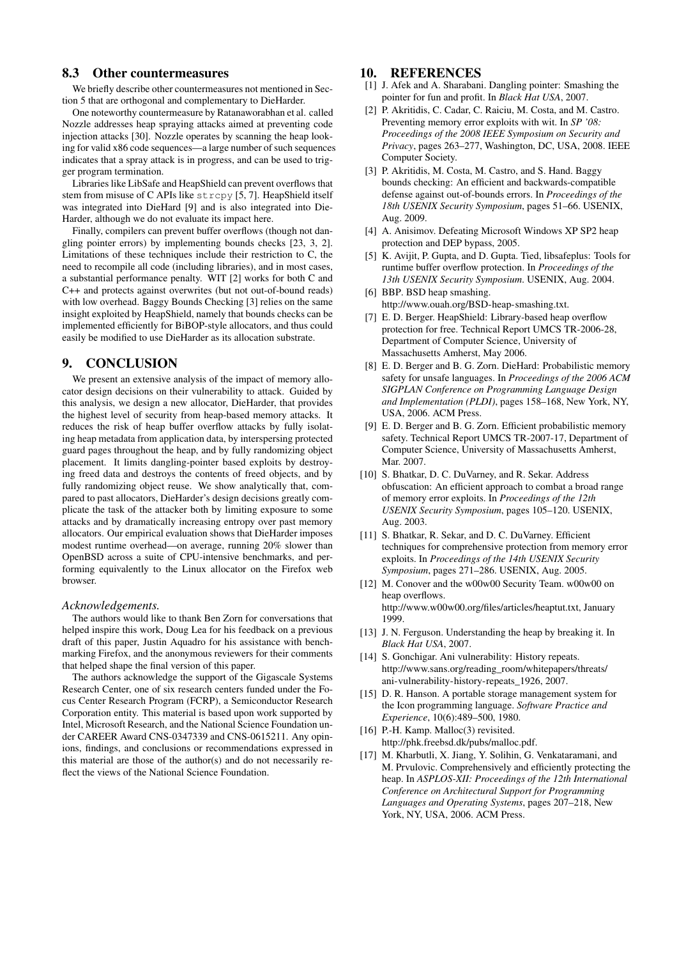# 8.3 Other countermeasures

We briefly describe other countermeasures not mentioned in Section 5 that are orthogonal and complementary to DieHarder.

One noteworthy countermeasure by Ratanaworabhan et al. called Nozzle addresses heap spraying attacks aimed at preventing code injection attacks [30]. Nozzle operates by scanning the heap looking for valid x86 code sequences—a large number of such sequences indicates that a spray attack is in progress, and can be used to trigger program termination.

Libraries like LibSafe and HeapShield can prevent overflows that stem from misuse of C APIs like strcpy [5, 7]. HeapShield itself was integrated into DieHard [9] and is also integrated into Die-Harder, although we do not evaluate its impact here.

Finally, compilers can prevent buffer overflows (though not dangling pointer errors) by implementing bounds checks [23, 3, 2]. Limitations of these techniques include their restriction to C, the need to recompile all code (including libraries), and in most cases, a substantial performance penalty. WIT [2] works for both C and C++ and protects against overwrites (but not out-of-bound reads) with low overhead. Baggy Bounds Checking [3] relies on the same insight exploited by HeapShield, namely that bounds checks can be implemented efficiently for BiBOP-style allocators, and thus could easily be modified to use DieHarder as its allocation substrate.

# 9. CONCLUSION

We present an extensive analysis of the impact of memory allocator design decisions on their vulnerability to attack. Guided by this analysis, we design a new allocator, DieHarder, that provides the highest level of security from heap-based memory attacks. It reduces the risk of heap buffer overflow attacks by fully isolating heap metadata from application data, by interspersing protected guard pages throughout the heap, and by fully randomizing object placement. It limits dangling-pointer based exploits by destroying freed data and destroys the contents of freed objects, and by fully randomizing object reuse. We show analytically that, compared to past allocators, DieHarder's design decisions greatly complicate the task of the attacker both by limiting exposure to some attacks and by dramatically increasing entropy over past memory allocators. Our empirical evaluation shows that DieHarder imposes modest runtime overhead—on average, running 20% slower than OpenBSD across a suite of CPU-intensive benchmarks, and performing equivalently to the Linux allocator on the Firefox web browser.

#### *Acknowledgements.*

The authors would like to thank Ben Zorn for conversations that helped inspire this work, Doug Lea for his feedback on a previous draft of this paper, Justin Aquadro for his assistance with benchmarking Firefox, and the anonymous reviewers for their comments that helped shape the final version of this paper.

The authors acknowledge the support of the Gigascale Systems Research Center, one of six research centers funded under the Focus Center Research Program (FCRP), a Semiconductor Research Corporation entity. This material is based upon work supported by Intel, Microsoft Research, and the National Science Foundation under CAREER Award CNS-0347339 and CNS-0615211. Any opinions, findings, and conclusions or recommendations expressed in this material are those of the author(s) and do not necessarily reflect the views of the National Science Foundation.

### 10. REFERENCES

- [1] J. Afek and A. Sharabani. Dangling pointer: Smashing the pointer for fun and profit. In *Black Hat USA*, 2007.
- [2] P. Akritidis, C. Cadar, C. Raiciu, M. Costa, and M. Castro. Preventing memory error exploits with wit. In *SP '08: Proceedings of the 2008 IEEE Symposium on Security and Privacy*, pages 263–277, Washington, DC, USA, 2008. IEEE Computer Society.
- [3] P. Akritidis, M. Costa, M. Castro, and S. Hand. Baggy bounds checking: An efficient and backwards-compatible defense against out-of-bounds errors. In *Proceedings of the 18th USENIX Security Symposium*, pages 51–66. USENIX, Aug. 2009.
- [4] A. Anisimov. Defeating Microsoft Windows XP SP2 heap protection and DEP bypass, 2005.
- [5] K. Avijit, P. Gupta, and D. Gupta. Tied, libsafeplus: Tools for runtime buffer overflow protection. In *Proceedings of the 13th USENIX Security Symposium*. USENIX, Aug. 2004.
- [6] BBP. BSD heap smashing. http://www.ouah.org/BSD-heap-smashing.txt.
- [7] E. D. Berger. HeapShield: Library-based heap overflow protection for free. Technical Report UMCS TR-2006-28, Department of Computer Science, University of Massachusetts Amherst, May 2006.
- [8] E. D. Berger and B. G. Zorn. DieHard: Probabilistic memory safety for unsafe languages. In *Proceedings of the 2006 ACM SIGPLAN Conference on Programming Language Design and Implementation (PLDI)*, pages 158–168, New York, NY, USA, 2006. ACM Press.
- [9] E. D. Berger and B. G. Zorn. Efficient probabilistic memory safety. Technical Report UMCS TR-2007-17, Department of Computer Science, University of Massachusetts Amherst, Mar. 2007.
- [10] S. Bhatkar, D. C. DuVarney, and R. Sekar. Address obfuscation: An efficient approach to combat a broad range of memory error exploits. In *Proceedings of the 12th USENIX Security Symposium*, pages 105–120. USENIX, Aug. 2003.
- [11] S. Bhatkar, R. Sekar, and D. C. DuVarney. Efficient techniques for comprehensive protection from memory error exploits. In *Proceedings of the 14th USENIX Security Symposium*, pages 271–286. USENIX, Aug. 2005.
- [12] M. Conover and the w00w00 Security Team. w00w00 on heap overflows. http://www.w00w00.org/files/articles/heaptut.txt, January 1999.
- [13] J. N. Ferguson. Understanding the heap by breaking it. In *Black Hat USA*, 2007.
- [14] S. Gonchigar. Ani vulnerability: History repeats. http://www.sans.org/reading\_room/whitepapers/threats/ ani-vulnerability-history-repeats\_1926, 2007.
- [15] D. R. Hanson. A portable storage management system for the Icon programming language. *Software Practice and Experience*, 10(6):489–500, 1980.
- [16] P.-H. Kamp. Malloc(3) revisited. http://phk.freebsd.dk/pubs/malloc.pdf.
- [17] M. Kharbutli, X. Jiang, Y. Solihin, G. Venkataramani, and M. Prvulovic. Comprehensively and efficiently protecting the heap. In *ASPLOS-XII: Proceedings of the 12th International Conference on Architectural Support for Programming Languages and Operating Systems*, pages 207–218, New York, NY, USA, 2006. ACM Press.